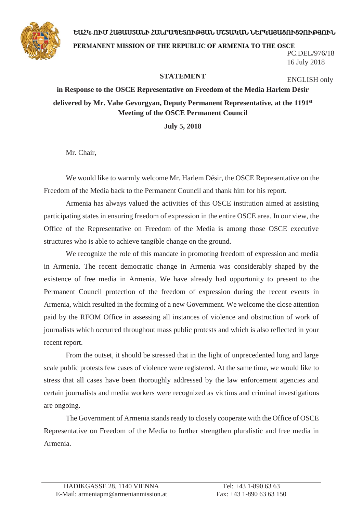## ԵԱՀԿ-ՈՒՄ ՀԱՑԱՍՏԱՆԻ ՀԱՆՐԱՊԵՏՈՒԹՅԱՆ ՄՇՏԱԿԱՆ ՆԵՐԿԱՑԱՑՈՒՑՉՈՒԹՅՈՒՆ



PERMANENT MISSION OF THE REPUBLIC OF ARMENIA TO THE OSCE PC.DEL/976/18 16 July 2018

## **STATEMENT**

ENGLISH only

**in Response to the OSCE Representative on Freedom of the Media Harlem Désir delivered by Mr. Vahe Gevorgyan, Deputy Permanent Representative, at the 1191st Meeting of the OSCE Permanent Council**

**July 5, 2018**

Mr. Chair,

We would like to warmly welcome Mr. Harlem Désir, the OSCE Representative on the Freedom of the Media back to the Permanent Council and thank him for his report.

Armenia has always valued the activities of this OSCE institution aimed at assisting participating states in ensuring freedom of expression in the entire OSCE area. In our view, the Office of the Representative on Freedom of the Media is among those OSCE executive structures who is able to achieve tangible change on the ground.

We recognize the role of this mandate in promoting freedom of expression and media in Armenia. The recent democratic change in Armenia was considerably shaped by the existence of free media in Armenia. We have already had opportunity to present to the Permanent Council protection of the freedom of expression during the recent events in Armenia, which resulted in the forming of a new Government. We welcome the close attention paid by the RFOM Office in assessing all instances of violence and obstruction of work of journalists which occurred throughout mass public protests and which is also reflected in your recent report.

From the outset, it should be stressed that in the light of unprecedented long and large scale public protests few cases of violence were registered. At the same time, we would like to stress that all cases have been thoroughly addressed by the law enforcement agencies and certain journalists and media workers were recognized as victims and criminal investigations are ongoing.

The Government of Armenia stands ready to closely cooperate with the Office of OSCE Representative on Freedom of the Media to further strengthen pluralistic and free media in Armenia.